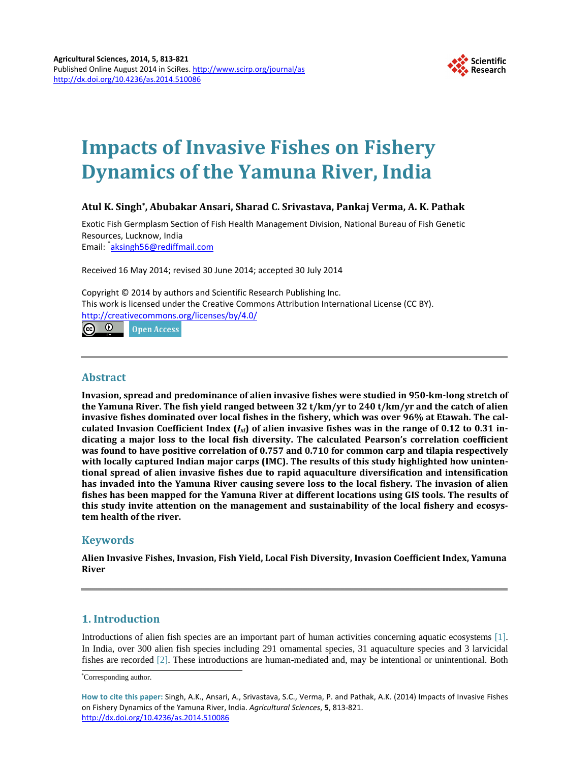

# **Impacts of Invasive Fishes on Fishery Dynamics of the Yamuna River, India**

# **Atul K. Singh\*, Abubakar Ansari, Sharad C. Srivastava, Pankaj Verma, A. K. Pathak**

Exotic Fish Germplasm Section of Fish Health Management Division, National Bureau of Fish Genetic Resources, Lucknow, India

Email: <sup>\*</sup>[aksingh56@rediffmail.com](mailto:aksingh56@rediffmail.com)

Received 16 May 2014; revised 30 June 2014; accepted 30 July 2014

Copyright © 2014 by authors and Scientific Research Publishing Inc. This work is licensed under the Creative Commons Attribution International License (CC BY). <http://creativecommons.org/licenses/by/4.0/>

ര 0 Open Access

# **Abstract**

**Invasion, spread and predominance of alien invasive fishes were studied in 950-km-long stretch of the Yamuna River. The fish yield ranged between 32 t/km/yr to 240 t/km/yr and the catch of alien invasive fishes dominated over local fishes in the fishery, which was over 96% at Etawah. The calculated Invasion Coefficient Index (***Ixi***) of alien invasive fishes was in the range of 0.12 to 0.31 indicating a major loss to the local fish diversity. The calculated Pearson's correlation coefficient was found to have positive correlation of 0.757 and 0.710 for common carp and tilapia respectively with locally captured Indian major carps (IMC). The results of this study highlighted how unintentional spread of alien invasive fishes due to rapid aquaculture diversification and intensification has invaded into the Yamuna River causing severe loss to the local fishery. The invasion of alien fishes has been mapped for the Yamuna River at different locations using GIS tools. The results of this study invite attention on the management and sustainability of the local fishery and ecosystem health of the river.**

# **Keywords**

**Alien Invasive Fishes, Invasion, Fish Yield, Local Fish Diversity, Invasion Coefficient Index, Yamuna River**

# **1. Introduction**

Introductions of alien fish species are an important part of human activities concerning aquatic ecosystems [\[1\].](#page-7-0) In India, over 300 alien fish species including 291 ornamental species, 31 aquaculture species and 3 larvicidal fishes are recorded [\[2\].](#page-7-1) These introductions are human-mediated and, may be intentional or unintentional. Both

<sup>\*</sup> Corresponding author.

**How to cite this paper:** Singh, A.K., Ansari, A., Srivastava, S.C., Verma, P. and Pathak, A.K. (2014) Impacts of Invasive Fishes on Fishery Dynamics of the Yamuna River, India. *Agricultural Sciences*, **5**, 813-821. <http://dx.doi.org/10.4236/as.2014.510086>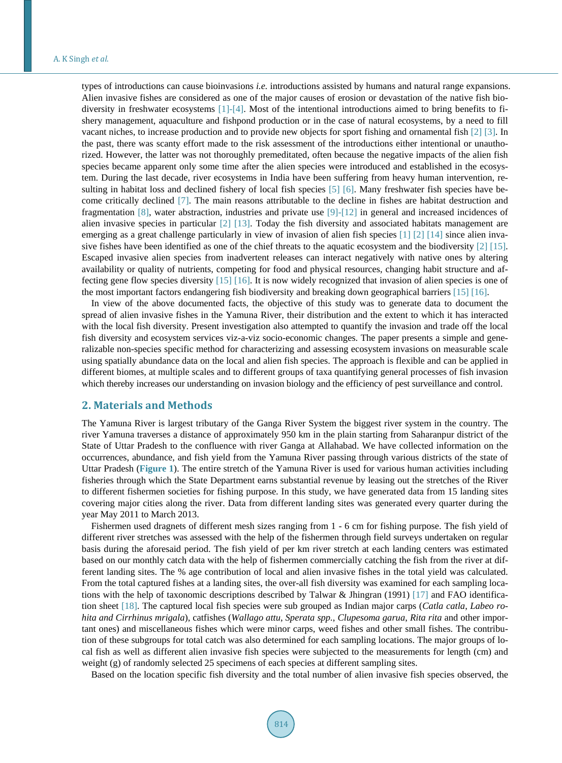types of introductions can cause bioinvasions *i.e.* introductions assisted by humans and natural range expansions. Alien invasive fishes are considered as one of the major causes of erosion or devastation of the native fish biodiversity in freshwater ecosystems [\[1\]](#page-7-0)[-\[4\].](#page-7-2) Most of the intentional introductions aimed to bring benefits to fishery management, aquaculture and fishpond production or in the case of natural ecosystems, by a need to fill vacant niches, to increase production and to provide new objects for sport fishing and ornamental fish [\[2\]](#page-7-1) [\[3\].](#page-7-3) In the past, there was scanty effort made to the risk assessment of the introductions either intentional or unauthorized. However, the latter was not thoroughly premeditated, often because the negative impacts of the alien fish species became apparent only some time after the alien species were introduced and established in the ecosystem. During the last decade, river ecosystems in India have been suffering from heavy human intervention, re-sulting in habitat loss and declined fishery of local fish species [\[5\]](#page-7-4) [\[6\].](#page-7-5) Many freshwater fish species have become critically declined [\[7\].](#page-7-6) The main reasons attributable to the decline in fishes are habitat destruction and fragmentation [\[8\],](#page-7-7) water abstraction, industries and private use [\[9\]-](#page-7-8)[\[12\]](#page-7-9) in general and increased incidences of alien invasive species in particular [\[2\]](#page-7-1) [\[13\].](#page-7-10) Today the fish diversity and associated habitats management are emerging as a great challenge particularly in view of invasion of alien fish species [\[1\]](#page-7-0) [\[2\]](#page-7-1) [\[14\]](#page-7-11) since alien invasive fishes have been identified as one of the chief threats to the aquatic ecosystem and the biodiversity [\[2\]](#page-7-1) [\[15\].](#page-7-12) Escaped invasive alien species from inadvertent releases can interact negatively with native ones by altering availability or quality of nutrients, competing for food and physical resources, changing habit structure and affecting gene flow species diversity [\[15\]](#page-7-12) [\[16\].](#page-7-13) It is now widely recognized that invasion of alien species is one of the most important factors endangering fish biodiversity and breaking down geographical barriers [\[15\]](#page-7-12) [\[16\].](#page-7-13) 

In view of the above documented facts, the objective of this study was to generate data to document the spread of alien invasive fishes in the Yamuna River, their distribution and the extent to which it has interacted with the local fish diversity. Present investigation also attempted to quantify the invasion and trade off the local fish diversity and ecosystem services viz-a-viz socio-economic changes. The paper presents a simple and generalizable non-species specific method for characterizing and assessing ecosystem invasions on measurable scale using spatially abundance data on the local and alien fish species. The approach is flexible and can be applied in different biomes, at multiple scales and to different groups of taxa quantifying general processes of fish invasion which thereby increases our understanding on invasion biology and the efficiency of pest surveillance and control.

### **2. Materials and Methods**

The Yamuna River is largest tributary of the Ganga River System the biggest river system in the country. The river Yamuna traverses a distance of approximately 950 km in the plain starting from Saharanpur district of the State of Uttar Pradesh to the confluence with river Ganga at Allahabad. We have collected information on the occurrences, abundance, and fish yield from the Yamuna River passing through various districts of the state of Uttar Pradesh (**[Figure 1](#page-2-0)**). The entire stretch of the Yamuna River is used for various human activities including fisheries through which the State Department earns substantial revenue by leasing out the stretches of the River to different fishermen societies for fishing purpose. In this study, we have generated data from 15 landing sites covering major cities along the river. Data from different landing sites was generated every quarter during the year May 2011 to March 2013.

Fishermen used dragnets of different mesh sizes ranging from 1 - 6 cm for fishing purpose. The fish yield of different river stretches was assessed with the help of the fishermen through field surveys undertaken on regular basis during the aforesaid period. The fish yield of per km river stretch at each landing centers was estimated based on our monthly catch data with the help of fishermen commercially catching the fish from the river at different landing sites. The % age contribution of local and alien invasive fishes in the total yield was calculated. From the total captured fishes at a landing sites, the over-all fish diversity was examined for each sampling locations with the help of taxonomic descriptions described by Talwar & Jhingran (1991) [\[17\]](#page-7-14) and FAO identification sheet [\[18\].](#page-7-15) The captured local fish species were sub grouped as Indian major carps (*Catla catla*, *Labeo rohita and Cirrhinus mrigala*), catfishes (*Wallago attu*, *Sperata spp.*, *Clupesoma garua*, *Rita rita* and other important ones) and miscellaneous fishes which were minor carps, weed fishes and other small fishes. The contribution of these subgroups for total catch was also determined for each sampling locations. The major groups of local fish as well as different alien invasive fish species were subjected to the measurements for length (cm) and weight (g) of randomly selected 25 specimens of each species at different sampling sites.

Based on the location specific fish diversity and the total number of alien invasive fish species observed, the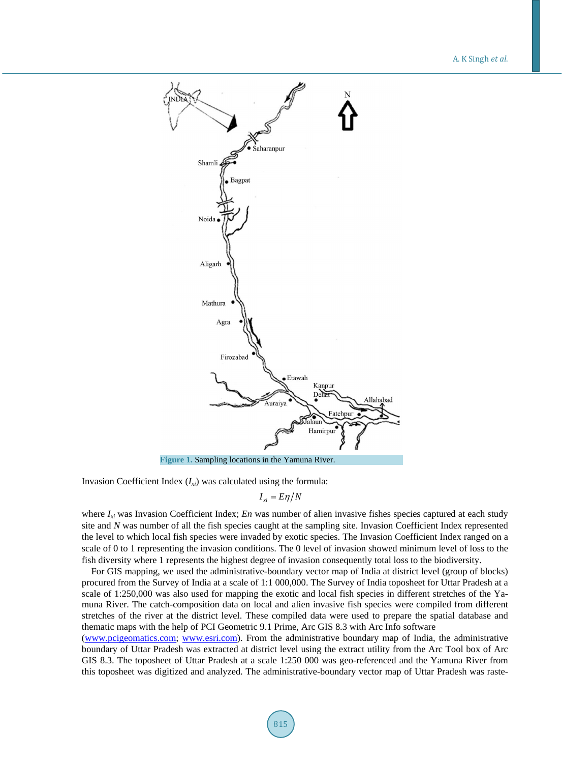A. K Singh *et al*.

<span id="page-2-0"></span>

Invasion Coefficient Index (*Ixi*) was calculated using the formula:

$$
I_{xi}=E\eta/N
$$

where  $I_{xi}$  was Invasion Coefficient Index; *En* was number of alien invasive fishes species captured at each study site and *N* was number of all the fish species caught at the sampling site. Invasion Coefficient Index represented the level to which local fish species were invaded by exotic species. The Invasion Coefficient Index ranged on a scale of 0 to 1 representing the invasion conditions. The 0 level of invasion showed minimum level of loss to the fish diversity where 1 represents the highest degree of invasion consequently total loss to the biodiversity.

For GIS mapping, we used the administrative-boundary vector map of India at district level (group of blocks) procured from the Survey of India at a scale of 1:1 000,000. The Survey of India toposheet for Uttar Pradesh at a scale of 1:250,000 was also used for mapping the exotic and local fish species in different stretches of the Yamuna River. The catch-composition data on local and alien invasive fish species were compiled from different stretches of the river at the district level. These compiled data were used to prepare the spatial database and thematic maps with the help of PCI Geometric 9.1 Prime, Arc GIS 8.3 with Arc Info software

[\(www.pcigeomatics.com;](http://www.pcigeomatics.com/) [www.esri.com\)](http://www.esri.com/). From the administrative boundary map of India, the administrative boundary of Uttar Pradesh was extracted at district level using the extract utility from the Arc Tool box of Arc GIS 8.3. The toposheet of Uttar Pradesh at a scale 1:250 000 was geo-referenced and the Yamuna River from this toposheet was digitized and analyzed. The administrative-boundary vector map of Uttar Pradesh was raste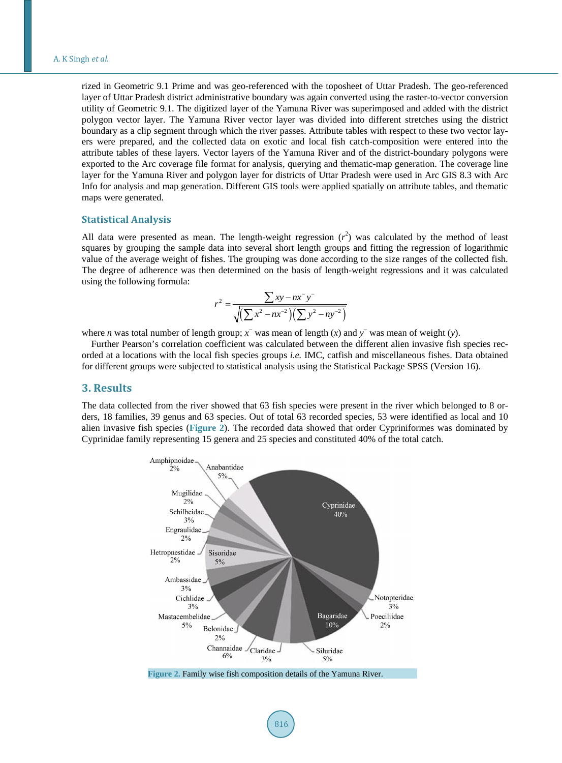rized in Geometric 9.1 Prime and was geo-referenced with the toposheet of Uttar Pradesh. The geo-referenced layer of Uttar Pradesh district administrative boundary was again converted using the raster-to-vector conversion utility of Geometric 9.1. The digitized layer of the Yamuna River was superimposed and added with the district polygon vector layer. The Yamuna River vector layer was divided into different stretches using the district boundary as a clip segment through which the river passes. Attribute tables with respect to these two vector layers were prepared, and the collected data on exotic and local fish catch-composition were entered into the attribute tables of these layers. Vector layers of the Yamuna River and of the district-boundary polygons were exported to the Arc coverage file format for analysis, querying and thematic-map generation. The coverage line layer for the Yamuna River and polygon layer for districts of Uttar Pradesh were used in Arc GIS 8.3 with Arc Info for analysis and map generation. Different GIS tools were applied spatially on attribute tables, and thematic maps were generated.

#### **Statistical Analysis**

All data were presented as mean. The length-weight regression  $(r^2)$  was calculated by the method of least squares by grouping the sample data into several short length groups and fitting the regression of logarithmic value of the average weight of fishes. The grouping was done according to the size ranges of the collected fish. The degree of adherence was then determined on the basis of length-weight regressions and it was calculated using the following formula:

$$
r^{2} = \frac{\sum xy - nx^{-}y^{-}}{\sqrt{\left(\sum x^{2} - nx^{-2}\right)\left(\sum y^{2} - ny^{-2}\right)}}
$$

where *n* was total number of length group;  $\overline{x}$  was mean of length ( $\overline{x}$ ) and  $\overline{y}$  was mean of weight ( $\overline{y}$ ).

Further Pearson's correlation coefficient was calculated between the different alien invasive fish species recorded at a locations with the local fish species groups *i.e.* IMC, catfish and miscellaneous fishes. Data obtained for different groups were subjected to statistical analysis using the Statistical Package SPSS (Version 16).

#### **3. Results**

<span id="page-3-0"></span>The data collected from the river showed that 63 fish species were present in the river which belonged to 8 orders, 18 families, 39 genus and 63 species. Out of total 63 recorded species, 53 were identified as local and 10 alien invasive fish species (**[Figure 2](#page-3-0)**). The recorded data showed that order Cypriniformes was dominated by Cyprinidae family representing 15 genera and 25 species and constituted 40% of the total catch.

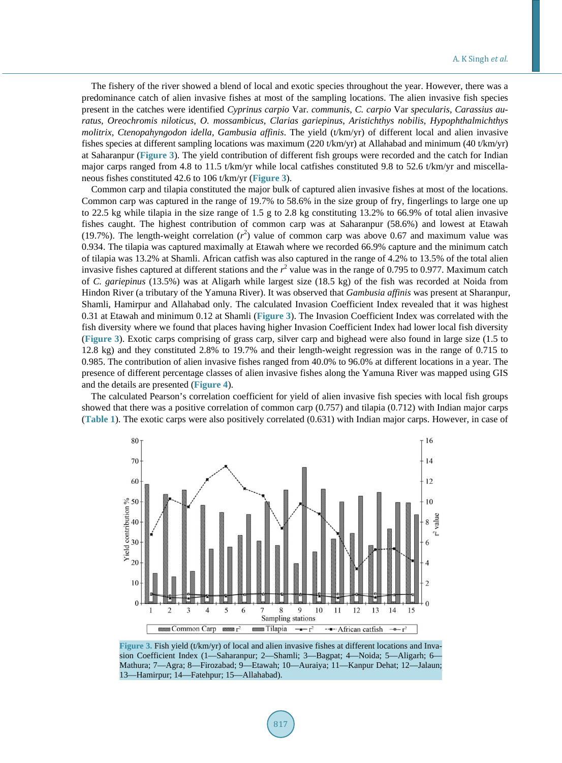The fishery of the river showed a blend of local and exotic species throughout the year. However, there was a predominance catch of alien invasive fishes at most of the sampling locations. The alien invasive fish species present in the catches were identified *Cyprinus carpio* Var. *communis*, *C. carpio* Var *specularis*, *Carassius auratus*, *Oreochromis niloticus*, *O. mossambicus*, *Clarias gariepinus*, *Aristichthys nobilis*, *Hypophthalmichthys molitrix*, *Ctenopahyngodon idella*, *Gambusia affinis*. The yield (t/km/yr) of different local and alien invasive fishes species at different sampling locations was maximum (220 t/km/yr) at Allahabad and minimum (40 t/km/yr) at Saharanpur (**[Figure](#page-4-0) 3**). The yield contribution of different fish groups were recorded and the catch for Indian major carps ranged from 4.8 to 11.5 t/km/yr while local catfishes constituted 9.8 to 52.6 t/km/yr and miscellaneous fishes constituted 42.6 to 106 t/km/yr (**[Figure](#page-4-0) 3**).

Common carp and tilapia constituted the major bulk of captured alien invasive fishes at most of the locations. Common carp was captured in the range of 19.7% to 58.6% in the size group of fry, fingerlings to large one up to 22.5 kg while tilapia in the size range of 1.5 g to 2.8 kg constituting 13.2% to 66.9% of total alien invasive fishes caught. The highest contribution of common carp was at Saharanpur (58.6%) and lowest at Etawah (19.7%). The length-weight correlation  $(r^2)$  value of common carp was above 0.67 and maximum value was 0.934. The tilapia was captured maximally at Etawah where we recorded 66.9% capture and the minimum catch of tilapia was 13.2% at Shamli. African catfish was also captured in the range of 4.2% to 13.5% of the total alien invasive fishes captured at different stations and the *r* <sup>2</sup> value was in the range of 0.795 to 0.977. Maximum catch of *C. gariepinus* (13.5%) was at Aligarh while largest size (18.5 kg) of the fish was recorded at Noida from Hindon River (a tributary of the Yamuna River). It was observed that *Gambusia affinis* was present at Sharanpur, Shamli, Hamirpur and Allahabad only. The calculated Invasion Coefficient Index revealed that it was highest 0.31 at Etawah and minimum 0.12 at Shamli (**[Figure](#page-4-0) 3**). The Invasion Coefficient Index was correlated with the fish diversity where we found that places having higher Invasion Coefficient Index had lower local fish diversity (**[Figure](#page-4-0) 3**). Exotic carps comprising of grass carp, silver carp and bighead were also found in large size (1.5 to 12.8 kg) and they constituted 2.8% to 19.7% and their length-weight regression was in the range of 0.715 to 0.985. The contribution of alien invasive fishes ranged from 40.0% to 96.0% at different locations in a year. The presence of different percentage classes of alien invasive fishes along the Yamuna River was mapped using GIS and the details are presented (**[Figure](#page-5-0) 4**).

<span id="page-4-0"></span>The calculated Pearson's correlation coefficient for yield of alien invasive fish species with local fish groups showed that there was a positive correlation of common carp (0.757) and tilapia (0.712) with Indian major carps (**[Table 1](#page-5-1)**). The exotic carps were also positively correlated (0.631) with Indian major carps. However, in case of



**Figure 3.** Fish yield (t/km/yr) of local and alien invasive fishes at different locations and Invasion Coefficient Index (1—Saharanpur; 2—Shamli; 3—Bagpat; 4—Noida; 5—Aligarh; 6— Mathura; 7—Agra; 8—Firozabad; 9—Etawah; 10—Auraiya; 11—Kanpur Dehat; 12—Jalaun; 13—Hamirpur; 14—Fatehpur; 15—Allahabad).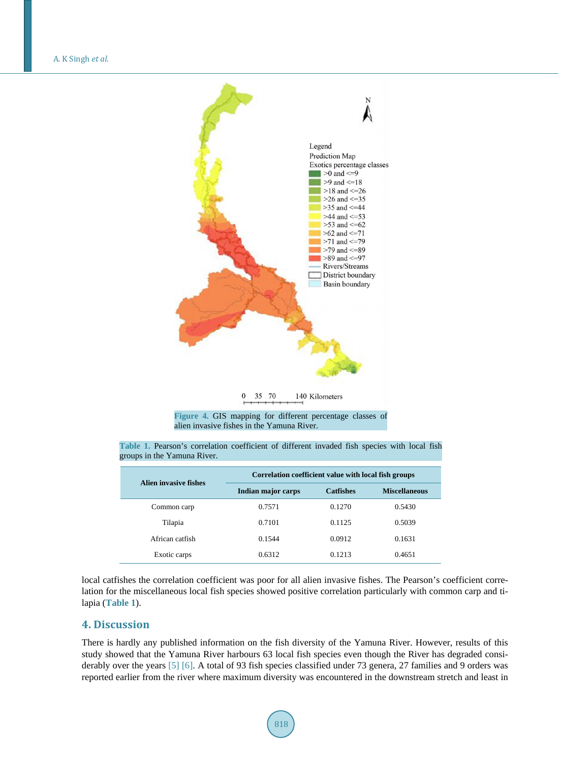<span id="page-5-0"></span>

35 70  $\boldsymbol{0}$ 140 Kilometers

**Figure 4.** GIS mapping for different percentage classes of alien invasive fishes in the Yamuna River.

| Alien invasive fishes | Correlation coefficient value with local fish groups |                  |                      |
|-----------------------|------------------------------------------------------|------------------|----------------------|
|                       | Indian major carps                                   | <b>Catfishes</b> | <b>Miscellaneous</b> |
| Common carp           | 0.7571                                               | 0.1270           | 0.5430               |
| Tilapia               | 0.7101                                               | 0.1125           | 0.5039               |
| African catfish       | 0.1544                                               | 0.0912           | 0.1631               |
| Exotic carps          | 0.6312                                               | 0.1213           | 0.4651               |

<span id="page-5-1"></span>**Table 1.** Pearson's correlation coefficient of different invaded fish species with local fish groups in the Yamuna River.

local catfishes the correlation coefficient was poor for all alien invasive fishes. The Pearson's coefficient correlation for the miscellaneous local fish species showed positive correlation particularly with common carp and tilapia (**[Table](#page-5-1) 1**).

## **4. Discussion**

There is hardly any published information on the fish diversity of the Yamuna River. However, results of this study showed that the Yamuna River harbours 63 local fish species even though the River has degraded considerably over the years [\[5\]](#page-7-4) [\[6\].](#page-7-5) A total of 93 fish species classified under 73 genera, 27 families and 9 orders was reported earlier from the river where maximum diversity was encountered in the downstream stretch and least in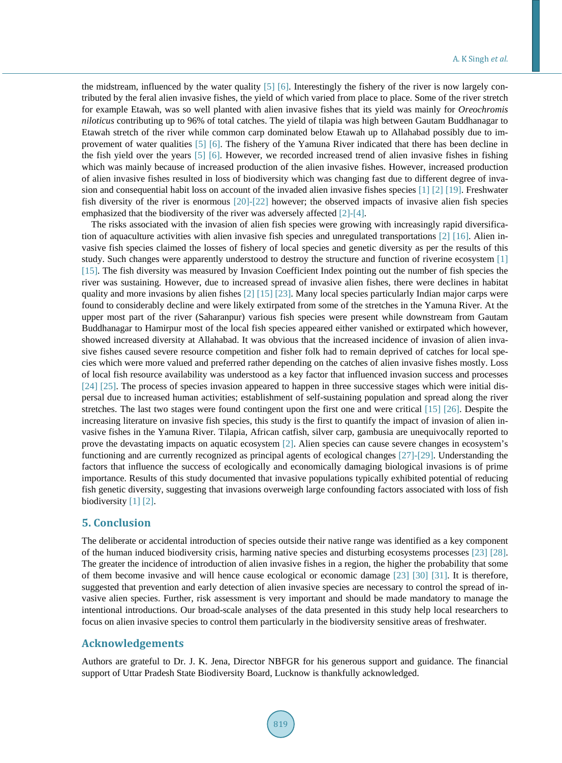the midstream, influenced by the water quality [\[5\]](#page-7-4) [\[6\].](#page-7-5) Interestingly the fishery of the river is now largely contributed by the feral alien invasive fishes, the yield of which varied from place to place. Some of the river stretch for example Etawah, was so well planted with alien invasive fishes that its yield was mainly for *Oreochromis niloticus* contributing up to 96% of total catches. The yield of tilapia was high between Gautam Buddhanagar to Etawah stretch of the river while common carp dominated below Etawah up to Allahabad possibly due to improvement of water qualities [\[5\]](#page-7-4) [\[6\].](#page-7-5) The fishery of the Yamuna River indicated that there has been decline in the fish yield over the years [\[5\]](#page-7-4) [\[6\].](#page-7-5) However, we recorded increased trend of alien invasive fishes in fishing which was mainly because of increased production of the alien invasive fishes. However, increased production of alien invasive fishes resulted in loss of biodiversity which was changing fast due to different degree of invasion and consequential habit loss on account of the invaded alien invasive fishes species [\[1\]](#page-7-0) [\[2\]](#page-7-1) [\[19\].](#page-7-16) Freshwater fish diversity of the river is enormous [\[20\]](#page-7-17)[-\[22\]](#page-7-18) however; the observed impacts of invasive alien fish species emphasized that the biodiversity of the river was adversely affected [\[2\]](#page-7-1)[-\[4\].](#page-7-2)

The risks associated with the invasion of alien fish species were growing with increasingly rapid diversification of aquaculture activities with alien invasive fish species and unregulated transportations [\[2\]](#page-7-1) [\[16\].](#page-7-13) Alien invasive fish species claimed the losses of fishery of local species and genetic diversity as per the results of this study. Such changes were apparently understood to destroy the structure and function of riverine ecosystem [\[1\]](#page-7-0) [\[15\].](#page-7-12) The fish diversity was measured by Invasion Coefficient Index pointing out the number of fish species the river was sustaining. However, due to increased spread of invasive alien fishes, there were declines in habitat quality and more invasions by alien fishes [\[2\]](#page-7-1) [\[15\]](#page-7-12) [\[23\].](#page-7-19) Many local species particularly Indian major carps were found to considerably decline and were likely extirpated from some of the stretches in the Yamuna River. At the upper most part of the river (Saharanpur) various fish species were present while downstream from Gautam Buddhanagar to Hamirpur most of the local fish species appeared either vanished or extirpated which however, showed increased diversity at Allahabad. It was obvious that the increased incidence of invasion of alien invasive fishes caused severe resource competition and fisher folk had to remain deprived of catches for local species which were more valued and preferred rather depending on the catches of alien invasive fishes mostly. Loss of local fish resource availability was understood as a key factor that influenced invasion success and processes [\[24\]](#page-8-0) [\[25\].](#page-8-1) The process of species invasion appeared to happen in three successive stages which were initial dispersal due to increased human activities; establishment of self-sustaining population and spread along the river stretches. The last two stages were found contingent upon the first one and were critical [\[15\]](#page-7-12) [\[26\].](#page-8-2) Despite the increasing literature on invasive fish species, this study is the first to quantify the impact of invasion of alien invasive fishes in the Yamuna River. Tilapia, African catfish, silver carp, gambusia are unequivocally reported to prove the devastating impacts on aquatic ecosystem [\[2\].](#page-7-1) Alien species can cause severe changes in ecosystem's functioning and are currently recognized as principal agents of ecological changes [\[27\]](#page-8-3)[-\[29\].](#page-8-4) Understanding the factors that influence the success of ecologically and economically damaging biological invasions is of prime importance. Results of this study documented that invasive populations typically exhibited potential of reducing fish genetic diversity, suggesting that invasions overweigh large confounding factors associated with loss of fish biodiversity [\[1\]](#page-7-0) [\[2\].](#page-7-1)

## **5. Conclusion**

The deliberate or accidental introduction of species outside their native range was identified as a key component of the human induced biodiversity crisis, harming native species and disturbing ecosystems processes [\[23\]](#page-7-19) [\[28\].](#page-8-5) The greater the incidence of introduction of alien invasive fishes in a region, the higher the probability that some of them become invasive and will hence cause ecological or economic damage [\[23\]](#page-7-19) [\[30\]](#page-8-6) [\[31\].](#page-8-7) It is therefore, suggested that prevention and early detection of alien invasive species are necessary to control the spread of invasive alien species. Further, risk assessment is very important and should be made mandatory to manage the intentional introductions. Our broad-scale analyses of the data presented in this study help local researchers to focus on alien invasive species to control them particularly in the biodiversity sensitive areas of freshwater.

## **Acknowledgements**

Authors are grateful to Dr. J. K. Jena, Director NBFGR for his generous support and guidance. The financial support of Uttar Pradesh State Biodiversity Board, Lucknow is thankfully acknowledged.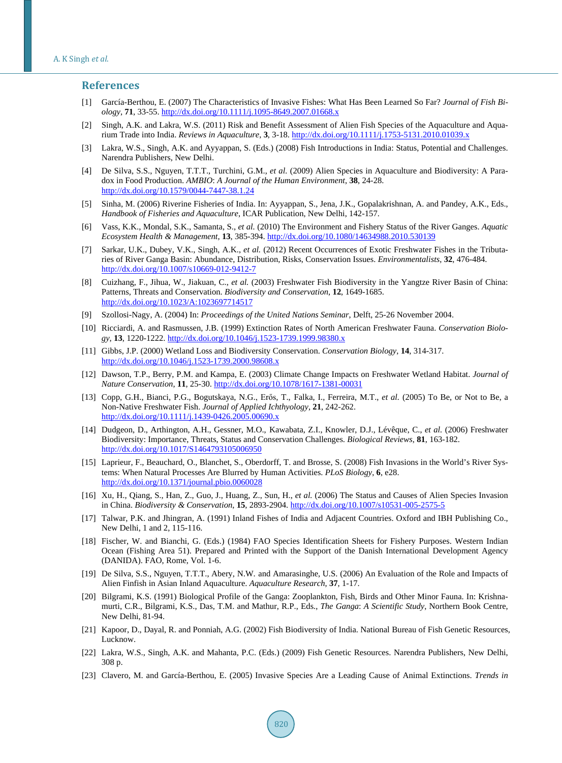#### **References**

- <span id="page-7-0"></span>[1] García-Berthou, E. (2007) The Characteristics of Invasive Fishes: What Has Been Learned So Far? *Journal of Fish Biology*, **71**, 33-55.<http://dx.doi.org/10.1111/j.1095-8649.2007.01668.x>
- <span id="page-7-1"></span>[2] Singh, A.K. and Lakra, W.S. (2011) Risk and Benefit Assessment of Alien Fish Species of the Aquaculture and Aquarium Trade into India. *Reviews in Aquaculture*, **3**, 3-18. <http://dx.doi.org/10.1111/j.1753-5131.2010.01039.x>
- <span id="page-7-3"></span>[3] Lakra, W.S., Singh, A.K. and Ayyappan, S. (Eds.) (2008) Fish Introductions in India: Status, Potential and Challenges. Narendra Publishers, New Delhi.
- <span id="page-7-2"></span>[4] De Silva, S.S., Nguyen, T.T.T., Turchini, G.M., *et al.* (2009) Alien Species in Aquaculture and Biodiversity: A Paradox in Food Production. *AMBIO*: *A Journal of the Human Environment*, **38**, 24-28. <http://dx.doi.org/10.1579/0044-7447-38.1.24>
- <span id="page-7-4"></span>[5] Sinha, M. (2006) Riverine Fisheries of India. In: Ayyappan, S., Jena, J.K., Gopalakrishnan, A. and Pandey, A.K., Eds., *Handbook of Fisheries and Aquaculture*, ICAR Publication, New Delhi, 142-157.
- <span id="page-7-5"></span>[6] Vass, K.K., Mondal, S.K., Samanta, S., *et al.* (2010) The Environment and Fishery Status of the River Ganges. *Aquatic Ecosystem Health & Management*, **13**, 385-394. <http://dx.doi.org/10.1080/14634988.2010.530139>
- <span id="page-7-6"></span>[7] Sarkar, U.K., Dubey, V.K., Singh, A.K., *et al.* (2012) Recent Occurrences of Exotic Freshwater Fishes in the Tributaries of River Ganga Basin: Abundance, Distribution, Risks, Conservation Issues. *Environmentalists*, **32**, 476-484. <http://dx.doi.org/10.1007/s10669-012-9412-7>
- <span id="page-7-7"></span>[8] Cuizhang, F., Jihua, W., Jiakuan, C., *et al.* (2003) Freshwater Fish Biodiversity in the Yangtze River Basin of China: Patterns, Threats and Conservation. *Biodiversity and Conservation*, **12**, 1649-1685. <http://dx.doi.org/10.1023/A:1023697714517>
- <span id="page-7-8"></span>[9] Szollosi-Nagy, A. (2004) In: *Proceedings of the United Nations Seminar*, Delft, 25-26 November 2004.
- [10] Ricciardi, A. and Rasmussen, J.B. (1999) Extinction Rates of North American Freshwater Fauna. *Conservation Biology*, **13**, 1220-1222. <http://dx.doi.org/10.1046/j.1523-1739.1999.98380.x>
- [11] Gibbs, J.P. (2000) Wetland Loss and Biodiversity Conservation. *Conservation Biology*, **14**, 314-317. <http://dx.doi.org/10.1046/j.1523-1739.2000.98608.x>
- <span id="page-7-9"></span>[12] Dawson, T.P., Berry, P.M. and Kampa, E. (2003) Climate Change Impacts on Freshwater Wetland Habitat. *Journal of Nature Conservation*, **11**, 25-30.<http://dx.doi.org/10.1078/1617-1381-00031>
- <span id="page-7-10"></span>[13] Copp, G.H., Bianci, P.G., Bogutskaya, N.G., Erős, T., Falka, I., Ferreira, M.T., *et al.* (2005) To Be, or Not to Be, a Non-Native Freshwater Fish. *Journal of Applied Ichthyology*, **21**, 242-262. <http://dx.doi.org/10.1111/j.1439-0426.2005.00690.x>
- <span id="page-7-11"></span>[14] Dudgeon, D., Arthington, A.H., Gessner, M.O., Kawabata, Z.I., Knowler, D.J., Lévêque, C., *et al.* (2006) Freshwater Biodiversity: Importance, Threats, Status and Conservation Challenges. *Biological Reviews*, **81**, 163-182. <http://dx.doi.org/10.1017/S1464793105006950>
- <span id="page-7-12"></span>[15] Laprieur, F., Beauchard, O., Blanchet, S., Oberdorff, T. and Brosse, S. (2008) Fish Invasions in the World's River Systems: When Natural Processes Are Blurred by Human Activities. *PLoS Biology*, **6**, e28. <http://dx.doi.org/10.1371/journal.pbio.0060028>
- <span id="page-7-13"></span>[16] Xu, H., Qiang, S., Han, Z., Guo, J., Huang, Z., Sun, H., *et al.* (2006) The Status and Causes of Alien Species Invasion in China. *Biodiversity & Conservation*, **15**, 2893-2904.<http://dx.doi.org/10.1007/s10531-005-2575-5>
- <span id="page-7-14"></span>[17] Talwar, P.K. and Jhingran, A. (1991) Inland Fishes of India and Adjacent Countries. Oxford and IBH Publishing Co., New Delhi, 1 and 2, 115-116.
- <span id="page-7-15"></span>[18] Fischer, W. and Bianchi, G. (Eds.) (1984) FAO Species Identification Sheets for Fishery Purposes. Western Indian Ocean (Fishing Area 51). Prepared and Printed with the Support of the Danish International Development Agency (DANIDA). FAO, Rome, Vol. 1-6.
- <span id="page-7-16"></span>[19] De Silva, S.S., Nguyen, T.T.T., Abery, N.W. and Amarasinghe, U.S. (2006) An Evaluation of the Role and Impacts of Alien Finfish in Asian Inland Aquaculture. *Aquaculture Research*, **37**, 1-17.
- <span id="page-7-17"></span>[20] Bilgrami, K.S. (1991) Biological Profile of the Ganga: Zooplankton, Fish, Birds and Other Minor Fauna. In: Krishnamurti, C.R., Bilgrami, K.S., Das, T.M. and Mathur, R.P., Eds., *The Ganga*: *A Scientific Study*, Northern Book Centre, New Delhi, 81-94.
- [21] Kapoor, D., Dayal, R. and Ponniah, A.G. (2002) Fish Biodiversity of India. National Bureau of Fish Genetic Resources, Lucknow.
- <span id="page-7-18"></span>[22] Lakra, W.S., Singh, A.K. and Mahanta, P.C. (Eds.) (2009) Fish Genetic Resources. Narendra Publishers, New Delhi, 308 p.
- <span id="page-7-19"></span>[23] Clavero, M. and García-Berthou, E. (2005) Invasive Species Are a Leading Cause of Animal Extinctions. *Trends in*